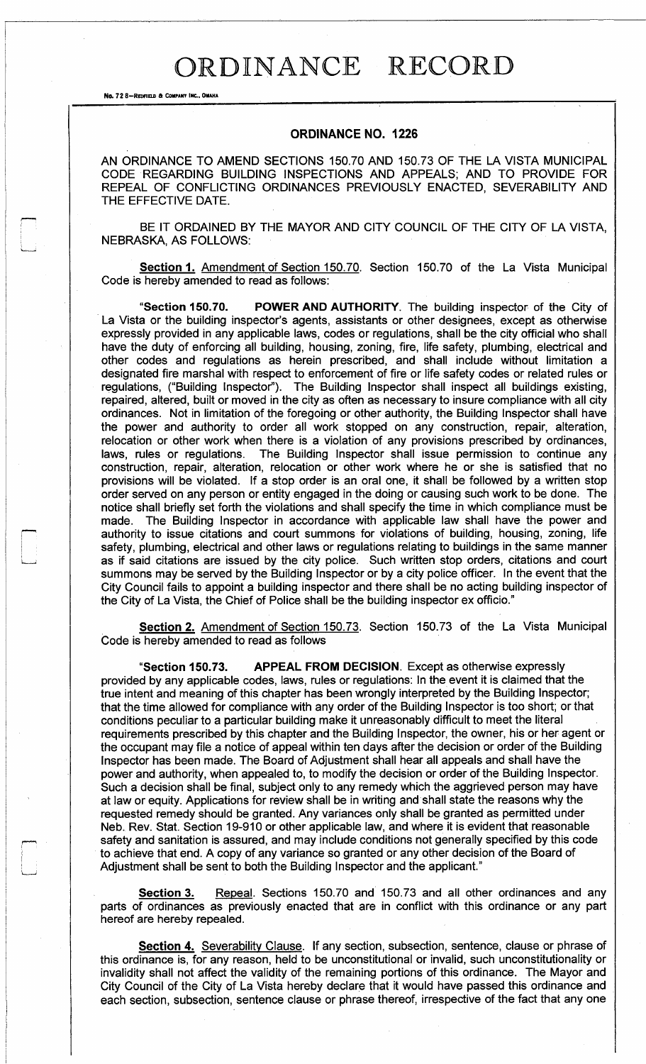## ORDINANCE RECORD

No. 72 8-REDFIELD & COMPANY INC., OMAHA

## **ORDINANCE NO. 1226**

AN ORDINANCE TO AMEND SECTIONS **150.70** AND **150.73** OF THE LA VISTA MUNICIPAL CODE REGARDING BUILDING INSPECTIONS AND APPEALS; AND TO PROVIDE FOR REPEAL OF CONFLICTING ORDINANCES PREVIOUSLY ENACTED, SEVERABILITY AND THE EFFECTIVE DATE.

BE IT ORDAINED BY THE MAYOR AND CITY COUNCIL OF THE CITY OF LA VISTA, NEBRASKA, AS FOLLOWS:

**<u>Section 1. Amendment of Section 150.70</u>. Section 150.70 of the La Vista Municipal** Code is hereby amended to read as follows:

**"Section** 150.70. **POWER AND AUTHORITY.** The building inspector of the City of La Vista or the building inspector's agents, assistants or other designees, except as otherwise expressly provided in any applicable laws, codes or regulations, shall be the city official who shall have the duty of enforcing all building, housing, zoning, fire, life safety, plumbing, electrical and other codes and regulations as herein prescribed, and shall include without limitation a designated fire marshal with respect to enforcement of fire or life safety codes or related rules or regulations, ("Building Inspector"). The Building Inspector shall inspect all buildings existing, repaired, altered, built or moved in the city as often as necessary to insure compliance with all city ordinances. Not in limitation of the foregoing or other authority, the Building Inspector shall have the power and authority to order all work stopped on any construction, repair, alteration, relocation or other work when there is a violation of any provisions prescribed by ordinances, laws, rules or regulations. The Building Inspector shall issue permission to continue any construction, repair, alteration, relocation or other work where he or she is satisfied that no provisions will be violated. If a stop order is an oral one, it shall be followed by a written stop order served on any person or entity engaged in the doing or causing such work to be done. The notice shall briefly set forth the violations and shall specify the time in which compliance must be made. The Building Inspector in accordance with applicable law shall have the power and authority to issue citations and court summons for violations of building, housing, zoning, life safety, plumbing, electrical and other laws or regulations relating to buildings in the same manner as if said citations are issued by the city police. Such written stop orders, citations and court summons may be served by the Building Inspector or by a city police officer. In the event that the City Council fails to appoint a building inspector and there shall be no acting building inspector of the City of La Vista, the Chief of Police shall be the building inspector ex officio."

**Section 2.** Amendment of Section **150.7 3.** Section **150.73** of the La Vista Municipal Code is hereby amended to read as follows

**"Section 150.73. APPEAL FROM DECISION.** Except as otherwise expressly provided by any applicable codes, laws, rules or regulations: In the event it is claimed that the true intent and meaning of this chapter has been wrongly interpreted by the Building Inspector; that the time allowed for compliance with any order of the Building Inspector is too short; or that conditions peculiar to a particular building make it unreasonably difficult to meet the literal requirements prescribed by this chapter and the Building Inspector, the owner, his or her agent or the occupant may file a notice of appeal within ten days after the decision or order of the Building Inspector has been made. The Board of Adjustment shall hear all appeals and shall have the power and authority, when appealed to, to modify the decision or order of the Building Inspector. Such a decision shall be final, subject only to any remedy which the aggrieved person may have at law or equity. Applications for review shall be in writing and shall state the reasons why the requested remedy should be granted. Any variances only shall be granted as permitted under Neb. Rev. Stat. Section **19-910** or other applicable law, and where it is evident that reasonable safety and sanitation is assured, and may include conditions not generally specified by this code to achieve that end. A copy of any variance so granted or any other decision of the Board of Adjustment shall be sent to both the Building Inspector and the applicant."

**Section 3.** Repeal. Sections 150.70 and 150.73 and all other ordinances and any parts of ordinances as previously enacted that are in conflict with this ordinance or any part hereof are hereby repealed.

**Section 4.** Severability Clause. If any section, subsection, sentence, clause or phrase of this ordinance is, for any reason, held to be unconstitutional or invalid, such unconstitutionality or invalidity shall not affect the validity of the remaining portions of this ordinance. The Mayor and City Council of the City of La Vista hereby declare that it would have passed this ordinance and each section, subsection, sentence clause or phrase thereof, irrespective of the fact that any one